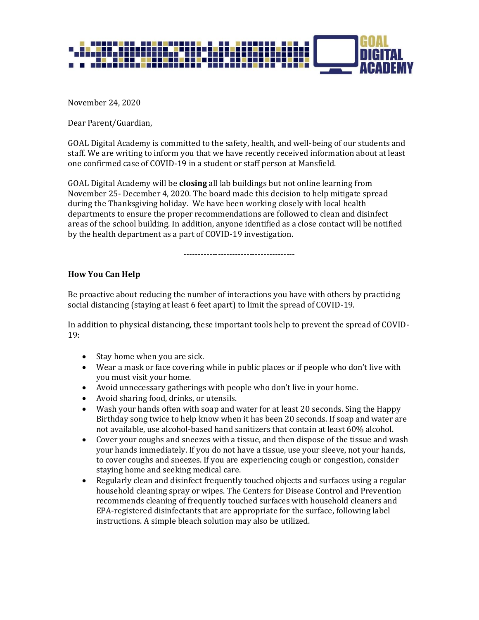

November 24, 2020

Dear Parent/Guardian,

GOAL Digital Academy is committed to the safety, health, and well-being of our students and staff. We are writing to inform you that we have recently received information about at least one confirmed case of COVID-19 in a student or staff person at Mansfield.

GOAL Digital Academy will be **closing** all lab buildings but not online learning from November 25- December 4, 2020. The board made this decision to help mitigate spread during the Thanksgiving holiday. We have been working closely with local health departments to ensure the proper recommendations are followed to clean and disinfect areas of the school building. In addition, anyone identified as a close contact will be notified by the health department as a part of COVID-19 investigation.

---------------------------------------

## **How You Can Help**

Be proactive about reducing the number of interactions you have with others by practicing social distancing (staying at least 6 feet apart) to limit the spread of COVID-19.

In addition to physical distancing, these important tools help to prevent the spread of COVID-19:

- Stay home when you are sick.
- Wear a mask or face covering while in public places or if people who don't live with you must visit your home.
- Avoid unnecessary gatherings with people who don't live in your home.
- Avoid sharing food, drinks, or utensils.
- Wash your hands often with soap and water for at least 20 seconds. Sing the Happy Birthday song twice to help know when it has been 20 seconds. If soap and water are not available, use alcohol-based hand sanitizers that contain at least 60% alcohol.
- Cover your coughs and sneezes with a tissue, and then dispose of the tissue and wash your hands immediately. If you do not have a tissue, use your sleeve, not your hands, to cover coughs and sneezes. If you are experiencing cough or congestion, consider staying home and seeking medical care.
- Regularly clean and disinfect frequently touched objects and surfaces using a regular household cleaning spray or wipes. The Centers for Disease Control and Prevention recommends cleaning of frequently touched surfaces with household cleaners and EPA-registered disinfectants that are appropriate for the surface, following label instructions. A simple bleach solution may also be utilized.